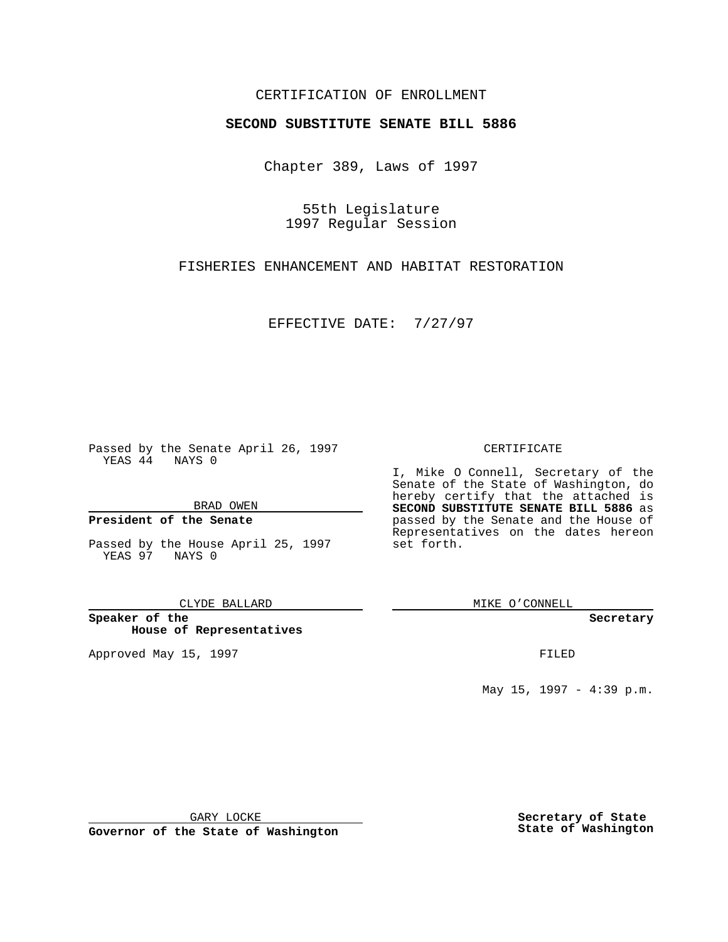### CERTIFICATION OF ENROLLMENT

# **SECOND SUBSTITUTE SENATE BILL 5886**

Chapter 389, Laws of 1997

55th Legislature 1997 Regular Session

FISHERIES ENHANCEMENT AND HABITAT RESTORATION

EFFECTIVE DATE: 7/27/97

Passed by the Senate April 26, 1997 YEAS 44 NAYS 0

BRAD OWEN

### **President of the Senate**

Passed by the House April 25, 1997 YEAS 97 NAYS 0

CLYDE BALLARD

**Speaker of the House of Representatives**

Approved May 15, 1997 **FILED** 

#### CERTIFICATE

I, Mike O Connell, Secretary of the Senate of the State of Washington, do hereby certify that the attached is **SECOND SUBSTITUTE SENATE BILL 5886** as passed by the Senate and the House of Representatives on the dates hereon set forth.

MIKE O'CONNELL

#### **Secretary**

May 15, 1997 - 4:39 p.m.

GARY LOCKE

**Governor of the State of Washington**

**Secretary of State State of Washington**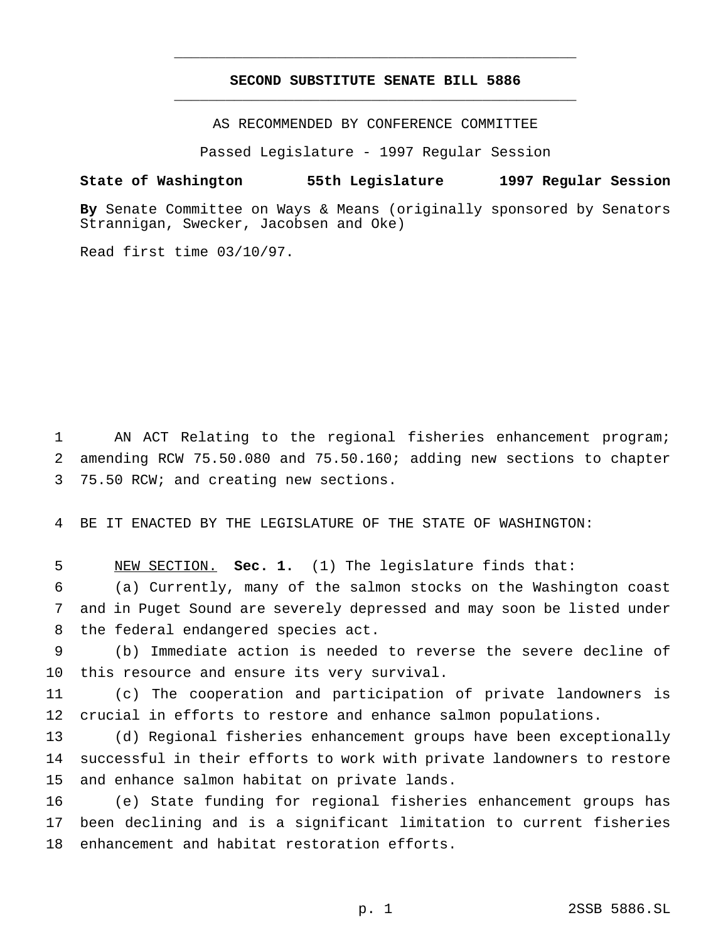## **SECOND SUBSTITUTE SENATE BILL 5886** \_\_\_\_\_\_\_\_\_\_\_\_\_\_\_\_\_\_\_\_\_\_\_\_\_\_\_\_\_\_\_\_\_\_\_\_\_\_\_\_\_\_\_\_\_\_\_

\_\_\_\_\_\_\_\_\_\_\_\_\_\_\_\_\_\_\_\_\_\_\_\_\_\_\_\_\_\_\_\_\_\_\_\_\_\_\_\_\_\_\_\_\_\_\_

AS RECOMMENDED BY CONFERENCE COMMITTEE

Passed Legislature - 1997 Regular Session

#### **State of Washington 55th Legislature 1997 Regular Session**

**By** Senate Committee on Ways & Means (originally sponsored by Senators Strannigan, Swecker, Jacobsen and Oke)

Read first time 03/10/97.

 AN ACT Relating to the regional fisheries enhancement program; amending RCW 75.50.080 and 75.50.160; adding new sections to chapter 75.50 RCW; and creating new sections.

BE IT ENACTED BY THE LEGISLATURE OF THE STATE OF WASHINGTON:

NEW SECTION. **Sec. 1.** (1) The legislature finds that:

 (a) Currently, many of the salmon stocks on the Washington coast and in Puget Sound are severely depressed and may soon be listed under the federal endangered species act.

 (b) Immediate action is needed to reverse the severe decline of this resource and ensure its very survival.

 (c) The cooperation and participation of private landowners is crucial in efforts to restore and enhance salmon populations.

 (d) Regional fisheries enhancement groups have been exceptionally successful in their efforts to work with private landowners to restore and enhance salmon habitat on private lands.

 (e) State funding for regional fisheries enhancement groups has been declining and is a significant limitation to current fisheries enhancement and habitat restoration efforts.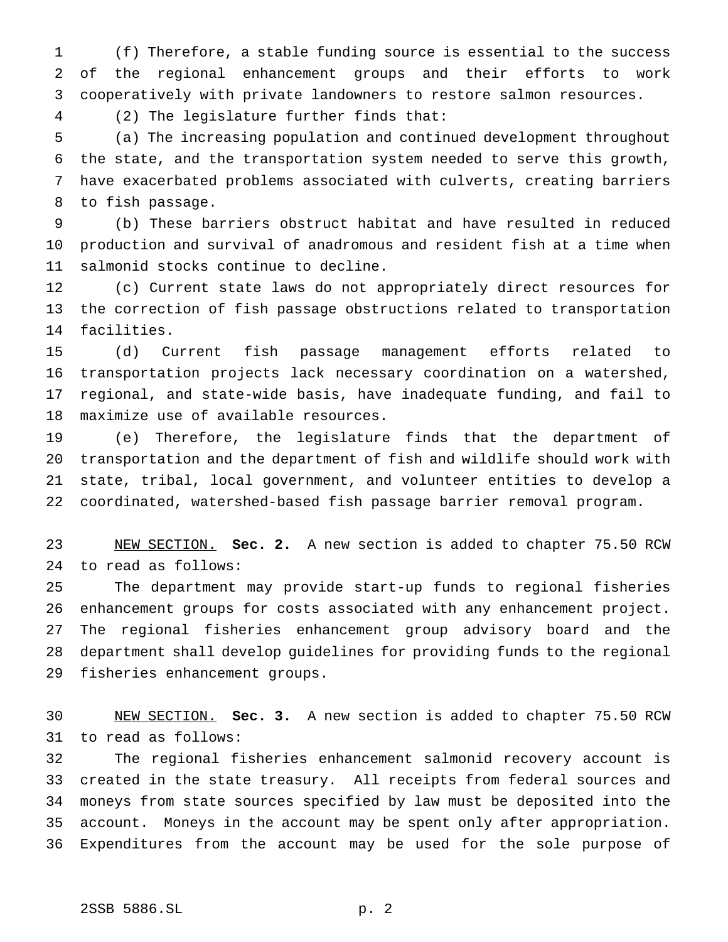(f) Therefore, a stable funding source is essential to the success of the regional enhancement groups and their efforts to work cooperatively with private landowners to restore salmon resources.

(2) The legislature further finds that:

 (a) The increasing population and continued development throughout the state, and the transportation system needed to serve this growth, have exacerbated problems associated with culverts, creating barriers to fish passage.

 (b) These barriers obstruct habitat and have resulted in reduced production and survival of anadromous and resident fish at a time when salmonid stocks continue to decline.

 (c) Current state laws do not appropriately direct resources for the correction of fish passage obstructions related to transportation facilities.

 (d) Current fish passage management efforts related to transportation projects lack necessary coordination on a watershed, regional, and state-wide basis, have inadequate funding, and fail to maximize use of available resources.

 (e) Therefore, the legislature finds that the department of transportation and the department of fish and wildlife should work with state, tribal, local government, and volunteer entities to develop a coordinated, watershed-based fish passage barrier removal program.

 NEW SECTION. **Sec. 2.** A new section is added to chapter 75.50 RCW to read as follows:

 The department may provide start-up funds to regional fisheries enhancement groups for costs associated with any enhancement project. The regional fisheries enhancement group advisory board and the department shall develop guidelines for providing funds to the regional fisheries enhancement groups.

 NEW SECTION. **Sec. 3.** A new section is added to chapter 75.50 RCW to read as follows:

 The regional fisheries enhancement salmonid recovery account is created in the state treasury. All receipts from federal sources and moneys from state sources specified by law must be deposited into the account. Moneys in the account may be spent only after appropriation. Expenditures from the account may be used for the sole purpose of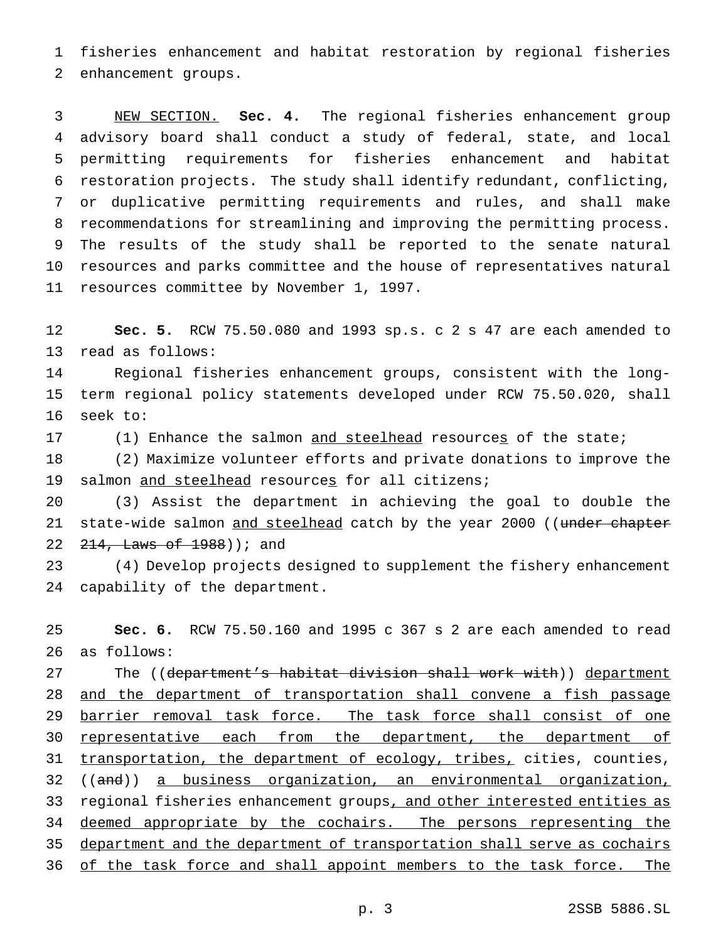fisheries enhancement and habitat restoration by regional fisheries enhancement groups.

 NEW SECTION. **Sec. 4.** The regional fisheries enhancement group advisory board shall conduct a study of federal, state, and local permitting requirements for fisheries enhancement and habitat restoration projects. The study shall identify redundant, conflicting, or duplicative permitting requirements and rules, and shall make recommendations for streamlining and improving the permitting process. The results of the study shall be reported to the senate natural resources and parks committee and the house of representatives natural resources committee by November 1, 1997.

 **Sec. 5.** RCW 75.50.080 and 1993 sp.s. c 2 s 47 are each amended to read as follows:

 Regional fisheries enhancement groups, consistent with the long- term regional policy statements developed under RCW 75.50.020, shall seek to:

17 (1) Enhance the salmon and steelhead resources of the state;

 (2) Maximize volunteer efforts and private donations to improve the 19 salmon and steelhead resources for all citizens;

 (3) Assist the department in achieving the goal to double the 21 state-wide salmon and steelhead catch by the year 2000 ((under chapter 22 <del>214, Laws of 1988</del>) ); and

 (4) Develop projects designed to supplement the fishery enhancement capability of the department.

 **Sec. 6.** RCW 75.50.160 and 1995 c 367 s 2 are each amended to read as follows:

27 The ((department's habitat division shall work with)) department and the department of transportation shall convene a fish passage 29 barrier removal task force. The task force shall consist of one 30 representative each from the department, the department of 31 transportation, the department of ecology, tribes, cities, counties, ((and)) a business organization, an environmental organization, 33 regional fisheries enhancement groups, and other interested entities as 34 deemed appropriate by the cochairs. The persons representing the department and the department of transportation shall serve as cochairs 36 of the task force and shall appoint members to the task force. The